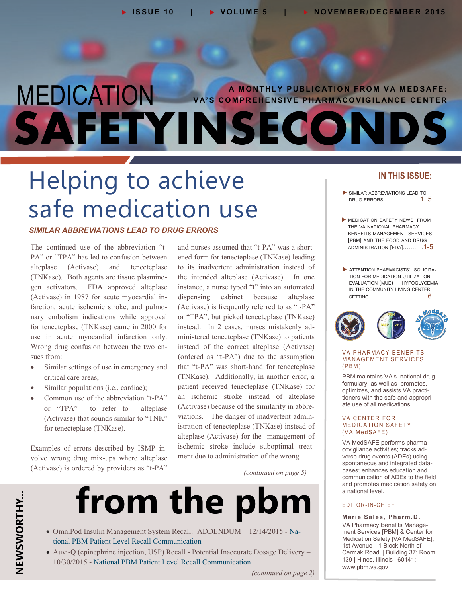### **A M O N T H L Y P U B L I C AT I O N F R O M V A M E D S AF E :**  MEDICATION **SAFETYINSECONDS VA'S COMPREHENSIVE PHARMACOVIGILANCE CENTER**

# Helping to achieve safe medication use

#### *SIMILAR ABBREVIATIONS LEAD TO DRUG ERRORS*

The continued use of the abbreviation "t-PA" or "TPA" has led to confusion between alteplase (Activase) and tenecteplase (TNKase). Both agents are tissue plasminogen activators. FDA approved alteplase (Activase) in 1987 for acute myocardial infarction, acute ischemic stroke, and pulmonary embolism indications while approval for tenecteplase (TNKase) came in 2000 for use in acute myocardial infarction only. Wrong drug confusion between the two ensues from:

- Similar settings of use in emergency and critical care areas;
- Similar populations (i.e., cardiac);
- Common use of the abbreviation "t-PA" or "TPA" to refer to alteplase (Activase) that sounds similar to "TNK" for tenecteplase (TNKase).

Examples of errors described by ISMP involve wrong drug mix-ups where alteplase (Activase) is ordered by providers as "t-PA"

and nurses assumed that "t-PA" was a shortened form for tenecteplase (TNKase) leading to its inadvertent administration instead of the intended alteplase (Activase). In one instance, a nurse typed "t" into an automated dispensing cabinet because alteplase (Activase) is frequently referred to as "t-PA" or "TPA", but picked tenecteplase (TNKase) instead. In 2 cases, nurses mistakenly administered tenecteplase (TNKase) to patients instead of the correct alteplase (Activase) (ordered as "t-PA") due to the assumption that "t-PA" was short-hand for tenecteplase (TNKase). Additionally, in another error, a patient received tenecteplase (TNKase) for an ischemic stroke instead of alteplase (Activase) because of the similarity in abbreviations. The danger of inadvertent administration of tenecteplase (TNKase) instead of alteplase (Activase) for the management of ischemic stroke include suboptimal treatment due to administration of the wrong

*(continued on page 5)*

# **from the pbm**

- OmniPod Insulin Management System Recall: ADDENDUM 12/14/2015 [Na](http://www.pbm.va.gov/PBM/vacenterformedicationsafety/nationalpbmcommunication/OmniPod_Insulin_Managemnet_System_Recall_National_PBM_Patient_Level_Recall_Communication_FINAL_121415.pdf)[tional PBM Patient Level Recall Communication](http://www.pbm.va.gov/PBM/vacenterformedicationsafety/nationalpbmcommunication/OmniPod_Insulin_Managemnet_System_Recall_National_PBM_Patient_Level_Recall_Communication_FINAL_121415.pdf)
- Auvi-Q (epinephrine injection, USP) Recall Potential Inaccurate Dosage Delivery 10/30/2015 - [National PBM Patient Level Recall Communication](http://www.pbm.va.gov/PBM/vacenterformedicationsafety/nationalpbmcommunication/Auvi_Q_epinephrine_injection_USP_Recall_Potential_Inaccurate_Dosage_Delivery_National_PBM_Patient_Level_Recall_Communication_FINAL_103015.pdf)

*(continued on page 2)*

### **IN THIS ISSUE:**

- SIMILAR ABBREVIATIONS LEAD TO DRUG ERRORS…………..……1, 5
- MEDICATION SAFETY NEWS FROM THE VA NATIONAL PHARMACY BENEFITS MANAGEMENT SERVICES [PBM] AND THE FOOD AND DRUG ADMINISTRATION [FDA]..……. .1-5
- **ATTENTION PHARMACISTS: SOLICITA-**TION FOR MEDICATION UTILIZATION EVALUATION (MUE) — HYPOGLYCEMIA IN THE COMMUNITY LIVING CENTER SETTING………………………….6



#### **VA PHARMACY BENEFITS MANAGEMENT SERVICES**  $(PBM)$

PBM maintains VA's national drug formulary, as well as promotes, optimizes, and assists VA practitioners with the safe and appropriate use of all medications.

#### **VA CENTER FOR MEDICATION SAFETY** (VA MedSAFE)

VA MedSAFE performs pharmacovigilance activities; tracks adverse drug events (ADEs) using spontaneous and integrated databases; enhances education and communication of ADEs to the field; and promotes medication safety on a national level.

#### E D I T O R - I N - C H I E F

**Marie Sales, Pharm .D.**  VA Pharmacy Benefits Management Services [PBM] & Center for Medication Safety [VA MedSAFE]; 1st Avenue—1 Block North of Cermak Road | Building 37; Room 139 | Hines, Illinois | 60141; [www.pbm.va.gov](http://www.pbm.va.gov)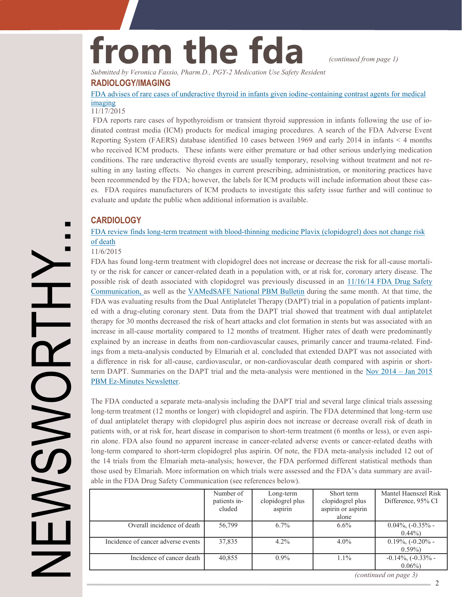# from the fda *continued from page 1)*

 *Submitted by Veronica Fassio, Pharm.D., PGY-2 Medication Use Safety Resident* 

#### **RADIOLOGY/IMAGING**

[FDA advises of rare cases of underactive thyroid in infants given iodine](http://www.fda.gov/Drugs/DrugSafety/ucm472782.htm)-containing contrast agents for medical [imaging](http://www.fda.gov/Drugs/DrugSafety/ucm472782.htm) 

#### 11/17/2015

FDA reports rare cases of hypothyroidism or transient thyroid suppression in infants following the use of iodinated contrast media (ICM) products for medical imaging procedures. A search of the FDA Adverse Event Reporting System (FAERS) database identified 10 cases between 1969 and early 2014 in infants < 4 months who received ICM products. These infants were either premature or had other serious underlying medication conditions. The rare underactive thyroid events are usually temporary, resolving without treatment and not resulting in any lasting effects. No changes in current prescribing, administration, or monitoring practices have been recommended by the FDA; however, the labels for ICM products will include information about these cases. FDA requires manufacturers of ICM products to investigate this safety issue further and will continue to evaluate and update the public when additional information is available.

#### **CARDIOLOGY**

FDA review finds long-term treatment with blood-[thinning medicine Plavix \(clopidogrel\) does not change risk](http://www.fda.gov/Drugs/DrugSafety/ucm471286.htm)  [of death](http://www.fda.gov/Drugs/DrugSafety/ucm471286.htm) 

#### 11/6/2015

FDA has found long-term treatment with clopidogrel does not increase or decrease the risk for all-cause mortality or the risk for cancer or cancer-related death in a population with, or at risk for, coronary artery disease. The possible risk of death associated with clopidogrel was previously discussed in an [11/16/14 FDA Drug Safety](http://www.fda.gov/Drugs/DrugSafety/ucm423079.htm) [Communication,](http://www.fda.gov/Drugs/DrugSafety/ucm423079.htm) as well as the [VAMedSAFE National PBM Bulletin](http://www.pbm.va.gov/PBM/vacenterformedicationsafety/nationalpbmbulletin/DAPT_Trial_Results_NATIONAL_PBM_BULLETIN_121714_FINAL.pdf) during the same month. At that time, the FDA was evaluating results from the Dual Antiplatelet Therapy (DAPT) trial in a population of patients implanted with a drug-eluting coronary stent. Data from the DAPT trial showed that treatment with dual antiplatelet therapy for 30 months decreased the risk of heart attacks and clot formation in stents but was associated with an increase in all-cause mortality compared to 12 months of treatment. Higher rates of death were predominantly explained by an increase in deaths from non-cardiovascular causes, primarily cancer and trauma-related. Findings from a meta-analysis conducted by Elmariah et al. concluded that extended DAPT was not associated with a difference in risk for all-cause, cardiovascular, or non-cardiovascular death compared with aspirin or shortterm DAPT. Summaries on the DAPT trial and the meta-analysis were mentioned in the [Nov 2014 – Jan 2015](https://vaww.cmopnational.va.gov/cmop/PBM/News%20and%20Bulletins/PBM-MAP-VPE%20Ez%20Minutes/Ez%20Minutes%202015/Ez_Minutes_Newsletter_Nov_2014_Jan_2015.pdf) PBM Ez-[Minutes Newsletter.](https://vaww.cmopnational.va.gov/cmop/PBM/News%20and%20Bulletins/PBM-MAP-VPE%20Ez%20Minutes/Ez%20Minutes%202015/Ez_Minutes_Newsletter_Nov_2014_Jan_2015.pdf)

The FDA conducted a separate meta-analysis including the DAPT trial and several large clinical trials assessing long-term treatment (12 months or longer) with clopidogrel and aspirin. The FDA determined that long-term use of dual antiplatelet therapy with clopidogrel plus aspirin does not increase or decrease overall risk of death in patients with, or at risk for, heart disease in comparison to short-term treatment (6 months or less), or even aspirin alone. FDA also found no apparent increase in cancer-related adverse events or cancer-related deaths with long-term compared to short-term clopidogrel plus aspirin. Of note, the FDA meta-analysis included 12 out of the 14 trials from the Elmariah meta-analysis; however, the FDA performed different statistical methods than those used by Elmariah. More information on which trials were assessed and the FDA's data summary are available in the FDA Drug Safety Communication (see references below).

|                                    | Number of<br>patients in- | Long-term<br>clopidogrel plus | Short term<br>clopidogrel plus | Mantel Haenszel Risk<br>Difference, 95% CI |
|------------------------------------|---------------------------|-------------------------------|--------------------------------|--------------------------------------------|
|                                    | cluded                    | aspirin                       | aspirin or aspirin<br>alone    |                                            |
| Overall incidence of death         | 56,799                    | $6.7\%$                       | $6.6\%$                        | $0.04\%$ , $(-0.35\%$ -<br>$0.44\%$        |
| Incidence of cancer adverse events | 37,835                    | $4.2\%$                       | $4.0\%$                        | $0.19\%$ , $(-0.20\%$ -<br>$0.59\%$        |
| Incidence of cancer death          | 40,855                    | $0.9\%$                       | $1.1\%$                        | $-0.14\%$ , $(-0.33\%$ -<br>$0.06\%$       |
| (continued on page 3)              |                           |                               |                                |                                            |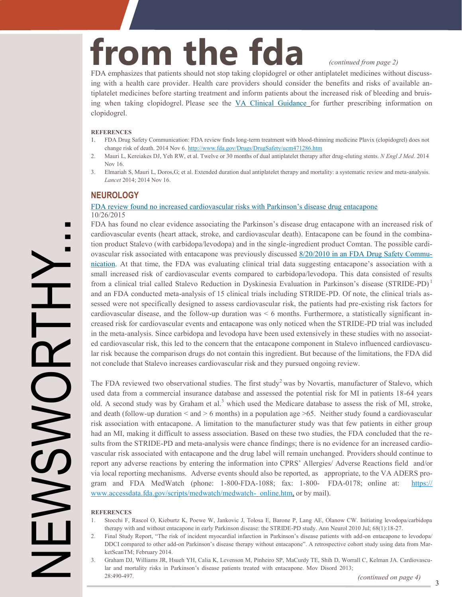# from the fda *continued from page 2*

FDA emphasizes that patients should not stop taking clopidogrel or other antiplatelet medicines without discussing with a health care provider. Health care providers should consider the benefits and risks of available antiplatelet medicines before starting treatment and inform patients about the increased risk of bleeding and bruising when taking clopidogrel. Please see the [VA Clinical Guidance](http://www.pbm.va.gov/clinicalguidance/criteriaforuse.asp) for further prescribing information on clopidogrel.

#### **REFERENCES**

- 1. FDA Drug Safety Communication: FDA review finds long-term treatment with blood-thinning medicine Plavix (clopidogrel) does not change risk of death. 2014 Nov 6[. http://www.fda.gov/Drugs/DrugSafety/ucm471286.htm](http://www.fda.gov/Drugs/DrugSafety/ucm471286.htm)
- 2. Mauri L, Kereiakes DJ, Yeh RW, et al. Twelve or 30 months of dual antiplatelet therapy after drug-eluting stents. *N Engl J Med*. 2014 Nov 16.
- 3. Elmariah S, Mauri L, Doros,G; et al. Extended duration dual antiplatelet therapy and mortality: a systematic review and meta-analysis. *Lancet* 2014; 2014 Nov 16.

#### **NEUROLOGY**

#### [FDA review found no increased cardiovascular risks with Parkinson's disease drug entacapone](http://www.fda.gov/Drugs/DrugSafety/ucm468803.htm)  10/26/2015

FDA has found no clear evidence associating the Parkinson's disease drug entacapone with an increased risk of cardiovascular events (heart attack, stroke, and cardiovascular death). Entacapone can be found in the combination product Stalevo (with carbidopa/levodopa) and in the single-ingredient product Comtan. The possible cardiovascular risk associated with entacapone was previously discussed [8/20/2010 in an FDA Drug Safety Commu](http://www.fda.gov/Drugs/DrugSafety/ucm223060.htm)[nication.](http://www.fda.gov/Drugs/DrugSafety/ucm223060.htm) At that time, the FDA was evaluating clinical trial data suggesting entacapone's association with a small increased risk of cardiovascular events compared to carbidopa/levodopa. This data consisted of results from a clinical trial called Stalevo Reduction in Dyskinesia Evaluation in Parkinson's disease (STRIDE-PD) 1 and an FDA conducted meta-analysis of 15 clinical trials including STRIDE-PD. Of note, the clinical trials assessed were not specifically designed to assess cardiovascular risk, the patients had pre-existing risk factors for cardiovascular disease, and the follow-up duration was  $\leq 6$  months. Furthermore, a statistically significant increased risk for cardiovascular events and entacapone was only noticed when the STRIDE-PD trial was included in the meta-analysis. Since carbidopa and levodopa have been used extensively in these studies with no associated cardiovascular risk, this led to the concern that the entacapone component in Stalevo influenced cardiovascular risk because the comparison drugs do not contain this ingredient. But because of the limitations, the FDA did not conclude that Stalevo increases cardiovascular risk and they pursued ongoing review.

The FDA reviewed two observational studies. The first study<sup>2</sup> was by Novartis, manufacturer of Stalevo, which used data from a commercial insurance database and assessed the potential risk for MI in patients 18-64 years old. A second study was by Graham et al.<sup>3</sup> which used the Medicare database to assess the risk of MI, stroke, and death (follow-up duration  $\leq$  and  $\geq$  6 months) in a population age  $\geq$  65. Neither study found a cardiovascular risk association with entacapone. A limitation to the manufacturer study was that few patients in either group had an MI, making it difficult to assess association. Based on these two studies, the FDA concluded that the results from the STRIDE-PD and meta-analysis were chance findings; there is no evidence for an increased cardiovascular risk associated with entacapone and the drug label will remain unchanged. Providers should continue to report any adverse reactions by entering the information into CPRS' Allergies/ Adverse Reactions field and/or via local reporting mechanisms. Adverse events should also be reported, as appropriate, to the VA ADERS program and FDA MedWatch (phone: 1-800-FDA-1088; fax: 1-800- FDA-0178; online at: [https://](https://www.accessdata.fda.gov/scripts/medwatch/medwatch-online.htm) [www.accessdata.fda.gov/scripts/medwatch/medwatch](https://www.accessdata.fda.gov/scripts/medwatch/medwatch-online.htm)- online.htm, or by mail).

#### **REFERENCES**

- 1. Stocchi F, Rascol O, Kieburtz K, Poewe W, Jankovic J, Tolosa E, Barone P, Lang AE, Olanow CW. Initiating levodopa/carbidopa therapy with and without entacapone in early Parkinson disease: the STRIDE-PD study. Ann Neurol 2010 Jul; 68(1):18-27.
- 2. Final Study Report, "The risk of incident myocardial infarction in Parkinson's disease patients with add-on entacapone to levodopa/ DDCI compared to other add-on Parkinson's disease therapy without entacapone". A retrospective cohort study using data from MarketScanTM; February 2014.
- 3. [Graham DJ, Williams JR, Hsueh YH, Calia K, Levenson M, Pinheiro SP, MaCurdy TE, Shih D, Worrall C, Kelman JA. Cardiovascu](http://onlinelibrary.wiley.com/doi/10.1002/mds.25351/epdf)[lar and mortality risks in Parkinson's disease patients treated with entacapone. Mov Disord 2013;](http://onlinelibrary.wiley.com/doi/10.1002/mds.25351/epdf)  [28:490](http://onlinelibrary.wiley.com/doi/10.1002/mds.25351/epdf)-497. *(continued on page 4)* <sup>3</sup>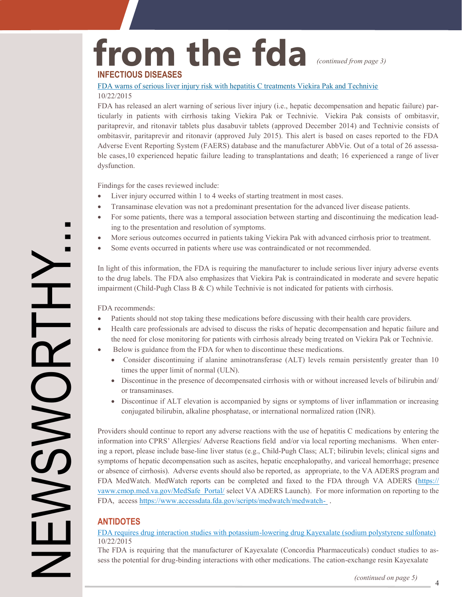## from the fda *(continued from page 3)* **INFECTIOUS DISEASES**

#### [FDA warns of serious liver injury risk with hepatitis C treatments Viekira Pak and Technivie](http://www.fda.gov/Drugs/DrugSafety/ucm468634.htm)  10/22/2015

FDA has released an alert warning of serious liver injury (i.e., hepatic decompensation and hepatic failure) particularly in patients with cirrhosis taking Viekira Pak or Technivie. Viekira Pak consists of ombitasvir, paritaprevir, and ritonavir tablets plus dasabuvir tablets (approved December 2014) and Technivie consists of ombitasvir, paritaprevir and ritonavir (approved July 2015). This alert is based on cases reported to the FDA Adverse Event Reporting System (FAERS) database and the manufacturer AbbVie. Out of a total of 26 assessable cases,10 experienced hepatic failure leading to transplantations and death; 16 experienced a range of liver dysfunction.

Findings for the cases reviewed include:

- Liver injury occurred within 1 to 4 weeks of starting treatment in most cases.
- Transaminase elevation was not a predominant presentation for the advanced liver disease patients.
- For some patients, there was a temporal association between starting and discontinuing the medication leading to the presentation and resolution of symptoms.
- More serious outcomes occurred in patients taking Viekira Pak with advanced cirrhosis prior to treatment.
- Some events occurred in patients where use was contraindicated or not recommended.

In light of this information, the FDA is requiring the manufacturer to include serious liver injury adverse events to the drug labels. The FDA also emphasizes that Viekira Pak is contraindicated in moderate and severe hepatic impairment (Child-Pugh Class B  $\&$  C) while Technivie is not indicated for patients with cirrhosis.

FDA recommends:

**...**<br>|-

- Patients should not stop taking these medications before discussing with their health care providers.
- Health care professionals are advised to discuss the risks of hepatic decompensation and hepatic failure and the need for close monitoring for patients with cirrhosis already being treated on Viekira Pak or Technivie.
- Below is guidance from the FDA for when to discontinue these medications.
	- Consider discontinuing if alanine aminotransferase (ALT) levels remain persistently greater than 10 times the upper limit of normal (ULN).
	- Discontinue in the presence of decompensated cirrhosis with or without increased levels of bilirubin and/ or transaminases.
	- Discontinue if ALT elevation is accompanied by signs or symptoms of liver inflammation or increasing conjugated bilirubin, alkaline phosphatase, or international normalized ration (INR).

Providers should continue to report any adverse reactions with the use of hepatitis C medications by entering the information into CPRS' Allergies/ Adverse Reactions field and/or via local reporting mechanisms. When entering a report, please include base-line liver status (e.g., Child-Pugh Class; ALT; bilirubin levels; clinical signs and symptoms of hepatic decompensation such as ascites, hepatic encephalopathy, and variceal hemorrhage; presence or absence of cirrhosis). Adverse events should also be reported, as appropriate, to the VA ADERS program and FDA MedWatch. MedWatch reports can be completed and faxed to the FDA through VA ADERS [\(https://](https://vaww.cmop.med.va.gov/MedSafe_Portal/)  [vaww.cmop.med.va.gov/MedSafe\\_Portal/](https://vaww.cmop.med.va.gov/MedSafe_Portal/) select VA ADERS Launch). For more information on reporting to the FDA, access [https://www.accessdata.fda.gov/scripts/medwatch/medwatch](https://www.accessdata.fda.gov/scripts/medwatch/medwatch-online.htm)- .

#### **ANTIDOTES**

#### FDA requires drug interaction studies with potassium-[lowering drug Kayexalate \(sodium polystyrene sulfonate\)](http://www.fda.gov/Drugs/DrugSafety/ucm468035.htm)  10/22/2015

The FDA is requiring that the manufacturer of Kayexalate (Concordia Pharmaceuticals) conduct studies to assess the potential for drug-binding interactions with other medications. The cation-exchange resin Kayexalate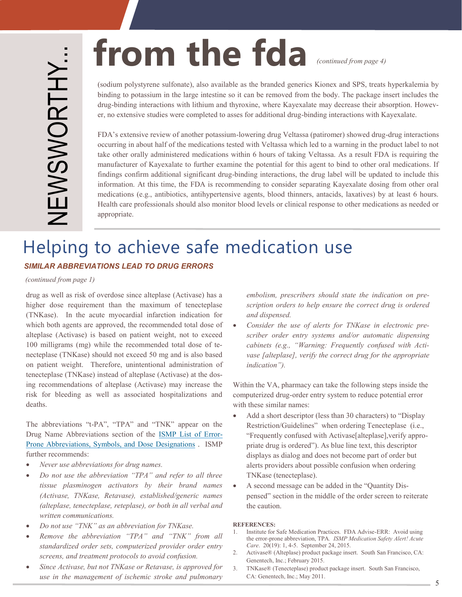# from the fda *(continued from page 4)*

(sodium polystyrene sulfonate), also available as the branded generics Kionex and SPS, treats hyperkalemia by binding to potassium in the large intestine so it can be removed from the body. The package insert includes the drug-binding interactions with lithium and thyroxine, where Kayexalate may decrease their absorption. However, no extensive studies were completed to asses for additional drug-binding interactions with Kayexalate.

FDA's extensive review of another potassium-lowering drug Veltassa (patiromer) showed drug-drug interactions occurring in about half of the medications tested with Veltassa which led to a warning in the product label to not take other orally administered medications within 6 hours of taking Veltassa. As a result FDA is requiring the manufacturer of Kayexalate to further examine the potential for this agent to bind to other oral medications. If findings confirm additional significant drug-binding interactions, the drug label will be updated to include this information. At this time, the FDA is recommending to consider separating Kayexalate dosing from other oral medications (e.g., antibiotics, antihypertensive agents, blood thinners, antacids, laxatives) by at least 6 hours. Health care professionals should also monitor blood levels or clinical response to other medications as needed or appropriate.

### Helping to achieve safe medication use

#### *SIMILAR ABBREVIATIONS LEAD TO DRUG ERRORS*

*(continued from page 1)*

drug as well as risk of overdose since alteplase (Activase) has a higher dose requirement than the maximum of tenecteplase (TNKase). In the acute myocardial infarction indication for which both agents are approved, the recommended total dose of alteplase (Activase) is based on patient weight, not to exceed 100 milligrams (mg) while the recommended total dose of tenecteplase (TNKase) should not exceed 50 mg and is also based on patient weight. Therefore, unintentional administration of tenecteplase (TNKase) instead of alteplase (Activase) at the dosing recommendations of alteplase (Activase) may increase the risk for bleeding as well as associated hospitalizations and deaths.

The abbreviations "t-PA", "TPA" and "TNK" appear on the Drug Name Abbreviations section of the [ISMP List of Error](https://www.ismp.org/tools/errorproneabbreviations.pdf)-[Prone Abbreviations, Symbols, and Dose Designations](https://www.ismp.org/tools/errorproneabbreviations.pdf) . ISMP further recommends:

- *Never use abbreviations for drug names.*
- *Do not use the abbreviation "TPA" and refer to all three tissue plasminogen activators by their brand names (Activase, TNKase, Retavase), established/generic names (alteplase, tenecteplase, reteplase), or both in all verbal and written communications.*
- *Do not use "TNK" as an abbreviation for TNKase.*
- *Remove the abbreviation "TPA" and "TNK" from all standardized order sets, computerized provider order entry screens, and treatment protocols to avoid confusion.*
- *Since Activase, but not TNKase or Retavase, is approved for use in the management of ischemic stroke and pulmonary*

*embolism, prescribers should state the indication on prescription orders to help ensure the correct drug is ordered and dispensed.* 

 *Consider the use of alerts for TNKase in electronic prescriber order entry systems and/or automatic dispensing cabinets (e.g., "Warning: Frequently confused with Activase [alteplase], verify the correct drug for the appropriate indication").* 

Within the VA, pharmacy can take the following steps inside the computerized drug-order entry system to reduce potential error with these similar names:

- Add a short descriptor (less than 30 characters) to "Display Restriction/Guidelines" when ordering Tenecteplase (i.e., "Frequently confused with Activase[alteplase],verify appropriate drug is ordered"). As blue line text, this descriptor displays as dialog and does not become part of order but alerts providers about possible confusion when ordering TNKase (tenecteplase).
- A second message can be added in the "Quantity Dispensed" section in the middle of the order screen to reiterate the caution.

#### **REFERENCES:**

- 1. Institute for Safe Medication Practices. FDA Advise-ERR: Avoid using the error-prone abbreviation, TPA*. ISMP Medication Safety Alert! Acute Care*. 20(19): 1, 4-5. September 24, 2015.
- 2. Activase® (Alteplase) product package insert. South San Francisco, CA: Genentech, Inc.; February 2015.
- 3. TNKase® (Tenecteplase) product package insert. South San Francisco, CA: Genentech, Inc.; May 2011.